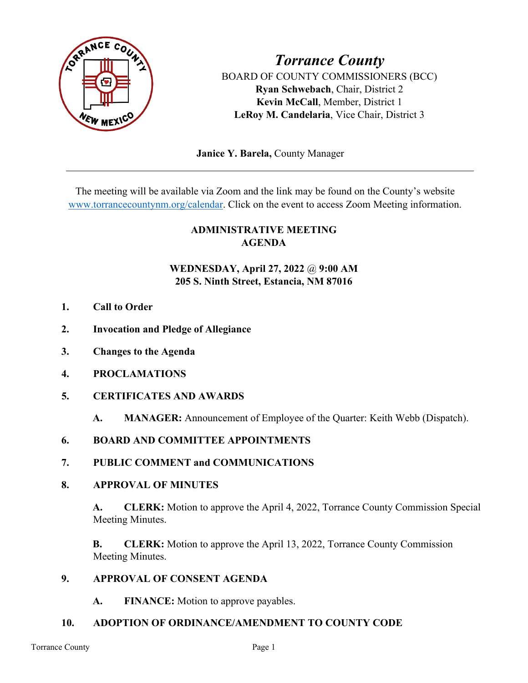

*Torrance County* BOARD OF COUNTY COMMISSIONERS (BCC) **Ryan Schwebach**, Chair, District 2 **Kevin McCall**, Member, District 1 **LeRoy M. Candelaria**, Vice Chair, District 3

 **Janice Y. Barela,** County Manager

The meeting will be available via Zoom and the link may be found on the County's website [www.torrancecountynm.org/calendar.](http://www.torrancecountynm.org/calendar) Click on the event to access Zoom Meeting information.

# **ADMINISTRATIVE MEETING AGENDA**

# **WEDNESDAY, April 27, 2022** @ **9:00 AM 205 S. Ninth Street, Estancia, NM 87016**

- **1. Call to Order**
- **2. Invocation and Pledge of Allegiance**
- **3. Changes to the Agenda**
- **4. PROCLAMATIONS**
- **5. CERTIFICATES AND AWARDS**
	- **A. MANAGER:** Announcement of Employee of the Quarter: Keith Webb (Dispatch).

### **6. BOARD AND COMMITTEE APPOINTMENTS**

**7. PUBLIC COMMENT and COMMUNICATIONS** 

### **8. APPROVAL OF MINUTES**

**A. CLERK:** Motion to approve the April 4, 2022, Torrance County Commission Special Meeting Minutes.

**B. CLERK:** Motion to approve the April 13, 2022, Torrance County Commission Meeting Minutes.

### **9. APPROVAL OF CONSENT AGENDA**

**A. FINANCE:** Motion to approve payables.

### **10. ADOPTION OF ORDINANCE/AMENDMENT TO COUNTY CODE**